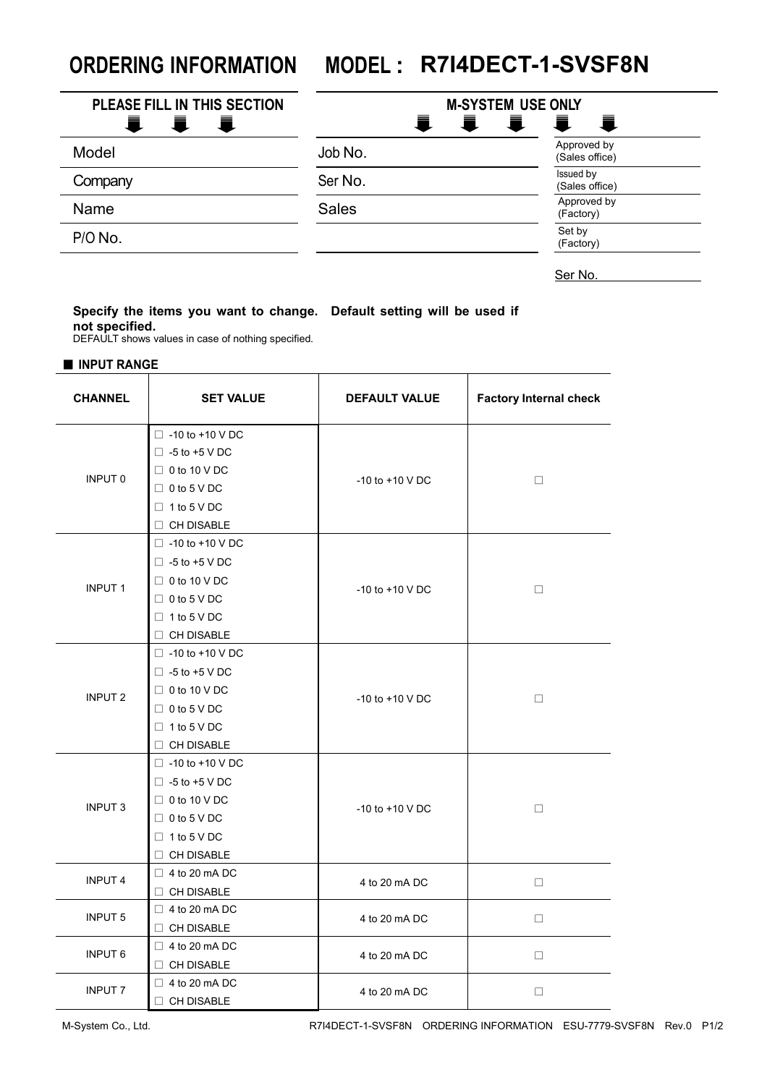## **ORDERING INFORMATION MODEL : R7I4DECT-1-SVSF8N**

| PLEASE FILL IN THIS SECTION<br>Ξ.<br>青<br>量 | <b>M-SYSTEM USE ONLY</b><br>Ħ.<br>Ħ.<br>量<br>量 |                               |
|---------------------------------------------|------------------------------------------------|-------------------------------|
| Model                                       | Job No.                                        | Approved by<br>(Sales office) |
| Company                                     | Ser No.                                        | Issued by<br>(Sales office)   |
| Name                                        | <b>Sales</b>                                   | Approved by<br>(Factory)      |
| $P/O$ No.                                   |                                                | Set by<br>(Factory)           |

Ser No.

## **Specify the items you want to change. Default setting will be used if not specified.**

DEFAULT shows values in case of nothing specified.

■ **INPUT RANGE**

| <b>CHANNEL</b> | <b>SET VALUE</b>                                                                                                                       | <b>DEFAULT VALUE</b> | <b>Factory Internal check</b> |
|----------------|----------------------------------------------------------------------------------------------------------------------------------------|----------------------|-------------------------------|
| INPUT 0        | $\Box$ -10 to +10 V DC<br>$\Box$ -5 to +5 V DC<br>$\Box$ 0 to 10 V DC<br>$\Box$ 0 to 5 V DC<br>$\Box$ 1 to 5 V DC<br>$\Box$ CH DISABLE | $-10$ to $+10$ V DC  | $\Box$                        |
| <b>INPUT1</b>  | $\Box$ -10 to +10 V DC<br>$\Box$ -5 to +5 V DC<br>$\Box$ 0 to 10 V DC<br>$\Box$ 0 to 5 V DC<br>$\Box$ 1 to 5 V DC<br>$\Box$ CH DISABLE | $-10$ to $+10$ V DC  | $\Box$                        |
| <b>INPUT 2</b> | $\Box$ -10 to +10 V DC<br>$\Box$ -5 to +5 V DC<br>$\Box$ 0 to 10 V DC<br>$\Box$ 0 to 5 V DC<br>$\Box$ 1 to 5 V DC<br>$\Box$ CH DISABLE | $-10$ to $+10$ V DC  | $\Box$                        |
| <b>INPUT 3</b> | $\Box$ -10 to +10 V DC<br>$\Box$ -5 to +5 V DC<br>$\Box$ 0 to 10 V DC<br>$\Box$ 0 to 5 V DC<br>$\Box$ 1 to 5 V DC<br>$\Box$ CH DISABLE | -10 to +10 V DC      | $\Box$                        |
| <b>INPUT 4</b> | $\Box$ 4 to 20 mA DC<br>$\Box$ CH DISABLE                                                                                              | 4 to 20 mA DC        | $\Box$                        |
| <b>INPUT 5</b> | $\Box$ 4 to 20 mA DC<br>$\Box$ CH DISABLE                                                                                              | 4 to 20 mA DC        | $\Box$                        |
| <b>INPUT 6</b> | $\Box$ 4 to 20 mA DC<br>$\Box$ CH DISABLE                                                                                              | 4 to 20 mA DC        | $\Box$                        |
| <b>INPUT 7</b> | $\Box$ 4 to 20 mA DC<br>$\Box$ CH DISABLE                                                                                              | 4 to 20 mA DC        | $\Box$                        |